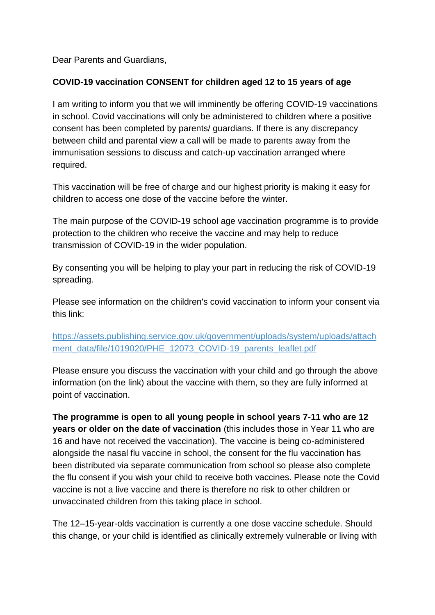Dear Parents and Guardians,

## **COVID-19 vaccination CONSENT for children aged 12 to 15 years of age**

I am writing to inform you that we will imminently be offering COVID-19 vaccinations in school. Covid vaccinations will only be administered to children where a positive consent has been completed by parents/ guardians. If there is any discrepancy between child and parental view a call will be made to parents away from the immunisation sessions to discuss and catch-up vaccination arranged where required.

This vaccination will be free of charge and our highest priority is making it easy for children to access one dose of the vaccine before the winter.

The main purpose of the COVID-19 school age vaccination programme is to provide protection to the children who receive the vaccine and may help to reduce transmission of COVID-19 in the wider population.

By consenting you will be helping to play your part in reducing the risk of COVID-19 spreading.

Please see information on the children's covid vaccination to inform your consent via this link:

[https://assets.publishing.service.gov.uk/government/uploads/system/uploads/attach](https://protect-eu.mimecast.com/s/1IxlCGZzNiAVxlpFKki-z?domain=assets.publishing.service.gov.uk) [ment\\_data/file/1019020/PHE\\_12073\\_COVID-19\\_parents\\_leaflet.pdf](https://protect-eu.mimecast.com/s/1IxlCGZzNiAVxlpFKki-z?domain=assets.publishing.service.gov.uk)

Please ensure you discuss the vaccination with your child and go through the above information (on the link) about the vaccine with them, so they are fully informed at point of vaccination.

**The programme is open to all young people in school years 7-11 who are 12 years or older on the date of vaccination** (this includes those in Year 11 who are 16 and have not received the vaccination). The vaccine is being co-administered alongside the nasal flu vaccine in school, the consent for the flu vaccination has been distributed via separate communication from school so please also complete the flu consent if you wish your child to receive both vaccines. Please note the Covid vaccine is not a live vaccine and there is therefore no risk to other children or unvaccinated children from this taking place in school.

The 12–15-year-olds vaccination is currently a one dose vaccine schedule. Should this change, or your child is identified as clinically extremely vulnerable or living with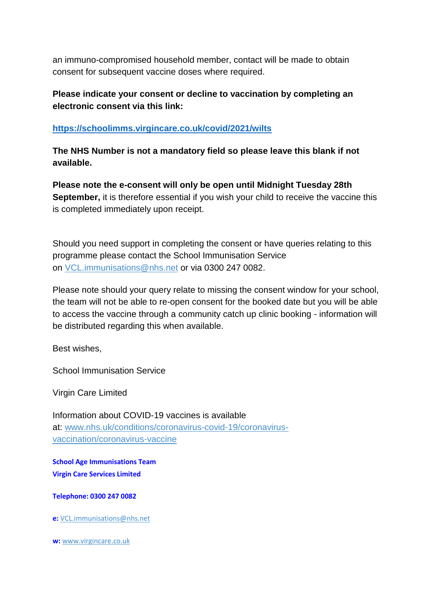an immuno-compromised household member, contact will be made to obtain consent for subsequent vaccine doses where required.

**Please indicate your consent or decline to vaccination by completing an electronic consent via this link:**

## **<https://schoolimms.virgincare.co.uk/covid/2021/wilts>**

**The NHS Number is not a mandatory field so please leave this blank if not available.**

**Please note the e-consent will only be open until Midnight Tuesday 28th September,** it is therefore essential if you wish your child to receive the vaccine this is completed immediately upon receipt.

Should you need support in completing the consent or have queries relating to this programme please contact the School Immunisation Service on [VCL.immunisations@nhs.net](mailto:VCL.immunisations@nhs.net) or via 0300 247 0082.

Please note should your query relate to missing the consent window for your school, the team will not be able to re-open consent for the booked date but you will be able to access the vaccine through a community catch up clinic booking - information will be distributed regarding this when available.

Best wishes,

School Immunisation Service

Virgin Care Limited

Information about COVID-19 vaccines is available at: [www.nhs.uk/conditions/coronavirus-covid-19/coronavirus](https://protect-eu.mimecast.com/s/igqqCKOzli4jgwvH3_Z9w?domain=nhs.uk)[vaccination/coronavirus-vaccine](https://protect-eu.mimecast.com/s/igqqCKOzli4jgwvH3_Z9w?domain=nhs.uk)

**School Age Immunisations Team Virgin Care Services Limited**

**Telephone: 0300 247 0082**

**e:** [VCL.immunisations@nhs.net](mailto:VCL.immunisations@nhs.net)

**w:** [www.virgincare.co.uk](http://www.virgincare.co.uk/)